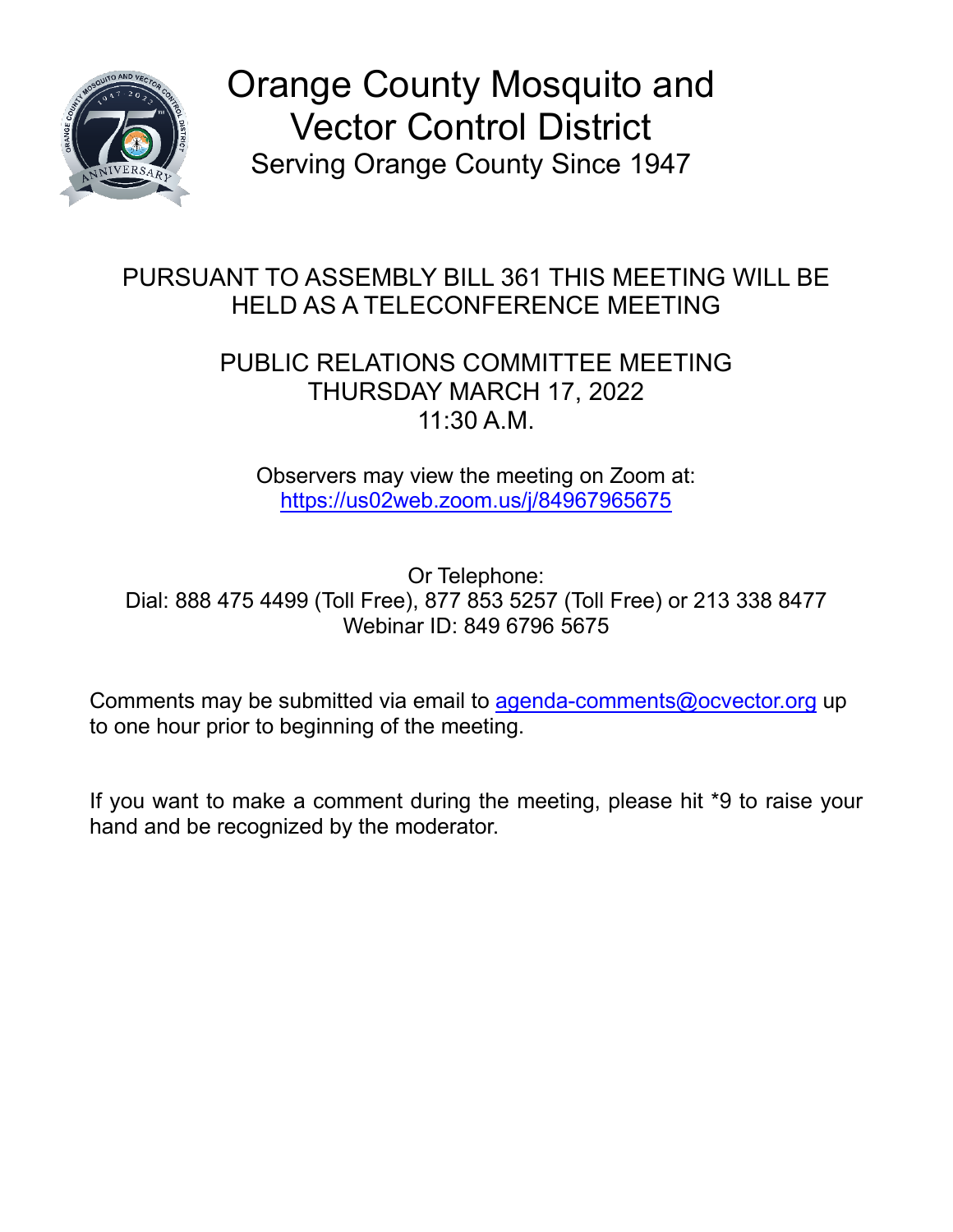

Orange County Mosquito and Vector Control District Serving Orange County Since 1947

## PURSUANT TO ASSEMBLY BILL 361 THIS MEETING WILL BE HELD AS A TELECONFERENCE MEETING

## PUBLIC RELATIONS COMMITTEE MEETING THURSDAY MARCH 17, 2022 11:30 A.M.

Observers may view the meeting on Zoom at: [https://us02web.zoom.us/j/84967965675](https://gcc02.safelinks.protection.outlook.com/?url=https%3A%2F%2Fus02web.zoom.us%2Fj%2F84967965675&data=04%7C01%7CTPett%40ocvector.org%7C3f665c5a1a764f43c53908d9f721f041%7Ccb3de05604a54a47bd3e25834a7e4386%7C1%7C0%7C637812547390479356%7CUnknown%7CTWFpbGZsb3d8eyJWIjoiMC4wLjAwMDAiLCJQIjoiV2luMzIiLCJBTiI6Ik1haWwiLCJXVCI6Mn0%3D%7C3000&sdata=oRjckqlnGYdLCtlHAuS9NIkZ8y%2Fy7LRm9ncD4vYaXmA%3D&reserved=0)

Or Telephone: Dial: 888 475 4499 (Toll Free), 877 853 5257 (Toll Free) or 213 338 8477 Webinar ID: 849 6796 5675

Comments may be submitted via email to [agenda-comments@ocvector.org](mailto:agenda-comments@ocvector.org) up to one hour prior to beginning of the meeting.

If you want to make a comment during the meeting, please hit \*9 to raise your hand and be recognized by the moderator.